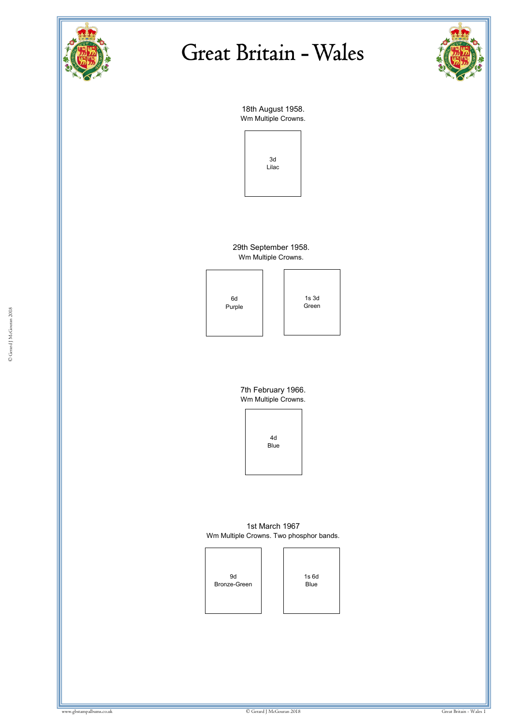



18th August 1958. Wm Multiple Crowns.



29th September 1958. Wm Multiple Crowns.



1s 3d Green

7th February 1966. Wm Multiple Crowns.



1st March 1967 Wm Multiple Crowns. Two phosphor bands.



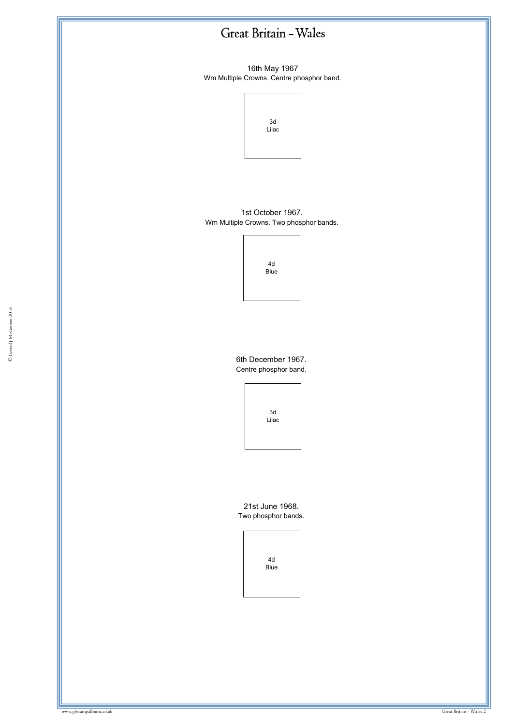16th May 1967 Wm Multiple Crowns. Centre phosphor band.



1st October 1967. Wm Multiple Crowns. Two phosphor bands.

> 4d Blue

6th December 1967. Centre phosphor band.



21st June 1968. Two phosphor bands.

> 4d Blue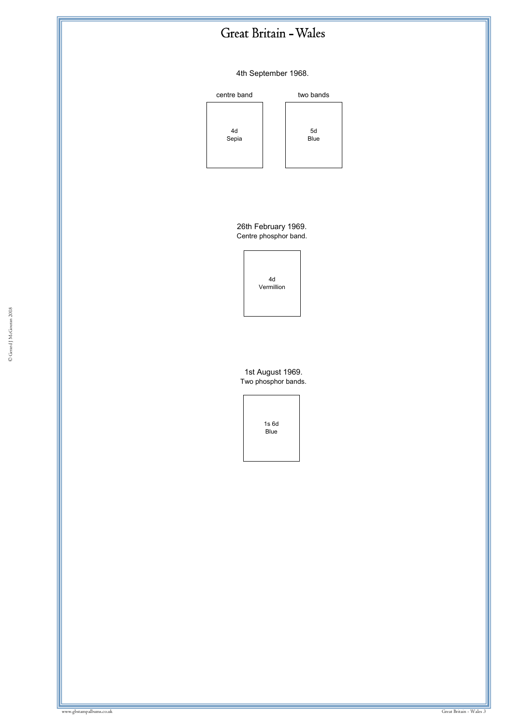#### 4th September 1968.









26th February 1969. Centre phosphor band.

> 4d Vermillion

© Gerard J McGouran 2018

1st August 1969. Two phosphor bands.

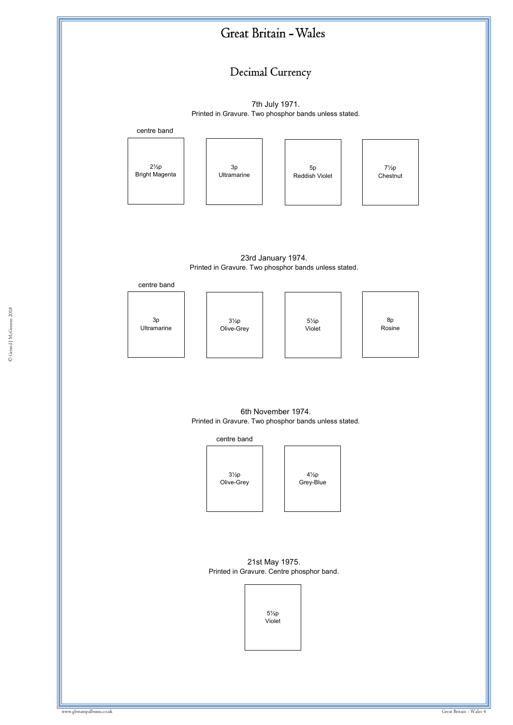#### Decimal Currency

7th July 1971. Printed in Gravure. Two phosphor bands unless stated.



23rd January 1974. Printed in Gravure. Two phosphor bands unless stated.



6th November 1974. Printed in Gravure. Two phosphor bands unless stated.



21st May 1975. Printed in Gravure. Centre phosphor band.

> 5½p Violet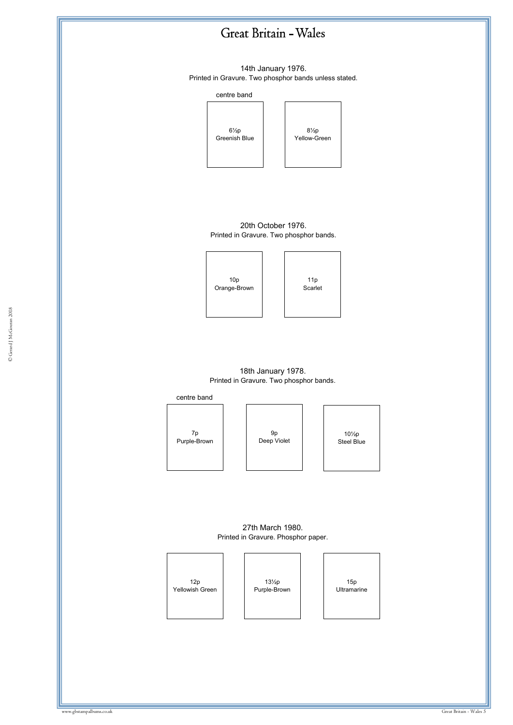

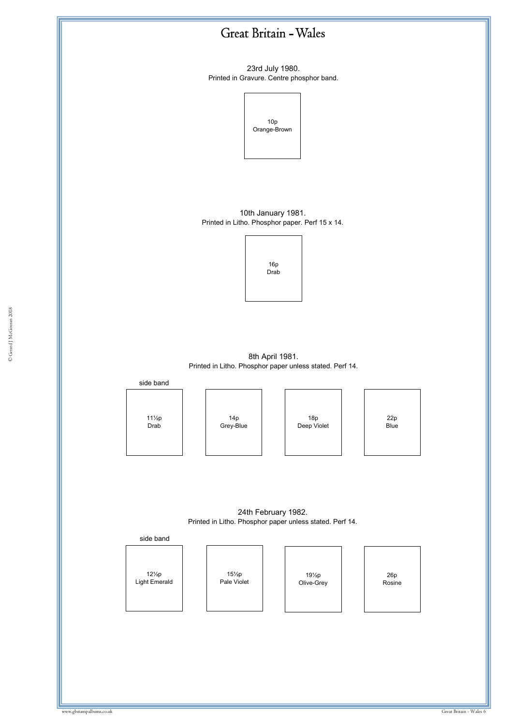23rd July 1980. Printed in Gravure. Centre phosphor band.



10th January 1981. Printed in Litho. Phosphor paper. Perf 15 x 14.



 $\frac{60}{1000}$  and  $\frac{1}{1000}$ 8th April 1981. Printed in Litho. Phosphor paper unless stated. Perf 14.



24th February 1982. Printed in Litho. Phosphor paper unless stated. Perf 14.



12½p Light Emerald 15½p Pale Violet

19½p Olive-Grey

26p Rosine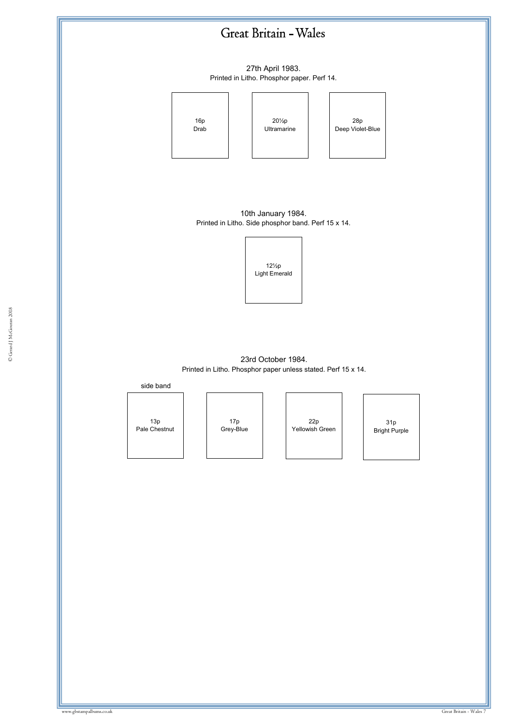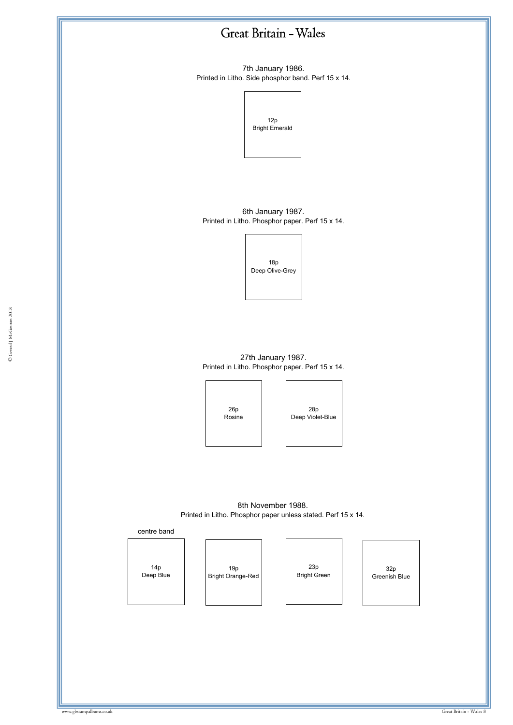7th January 1986. Printed in Litho. Side phosphor band. Perf 15 x 14.



6th January 1987. Printed in Litho. Phosphor paper. Perf 15 x 14.

> 18p Deep Olive-Grey

w.gbstampalbums.co.uk 27th January 1987. Printed in Litho. Phosphor paper. Perf 15 x 14.

> 26p Rosine

28p Deep Violet-Blue

8th November 1988. Printed in Litho. Phosphor paper unless stated. Perf 15 x 14.



14p Deep Blue

19p Bright Orange-Red

23p Bright Green

32p Greenish Blue

© Gerard J McGouran 2018 © Gerard J McGouran 2018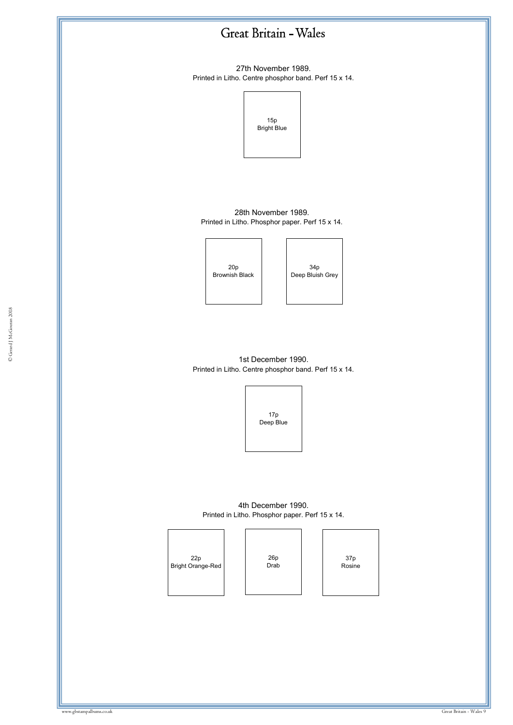

27th November 1989. Printed in Litho. Centre phosphor band. Perf 15 x 14.



28th November 1989. Printed in Litho. Phosphor paper. Perf 15 x 14.

f



| 34 <sub>p</sub><br>Deep Bluish Grey |
|-------------------------------------|

1st December 1990. Printed in Litho. Centre phosphor band. Perf 15 x 14.



4th December 1990. Printed in Litho. Phosphor paper. Perf 15 x 14.



26p Drab

37p Rosine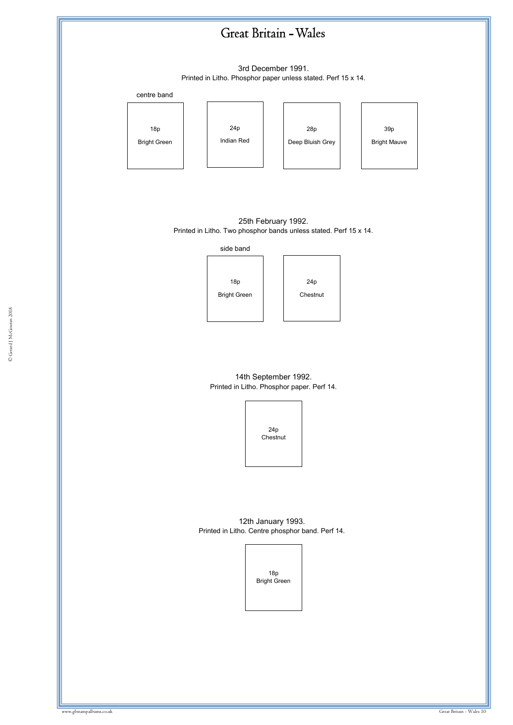

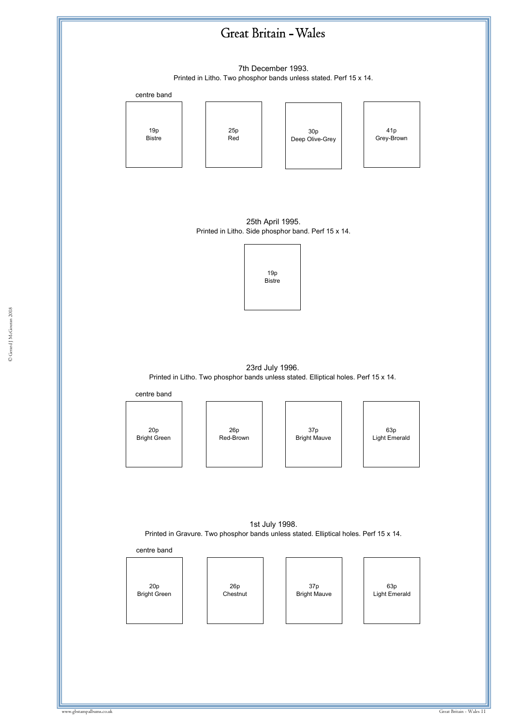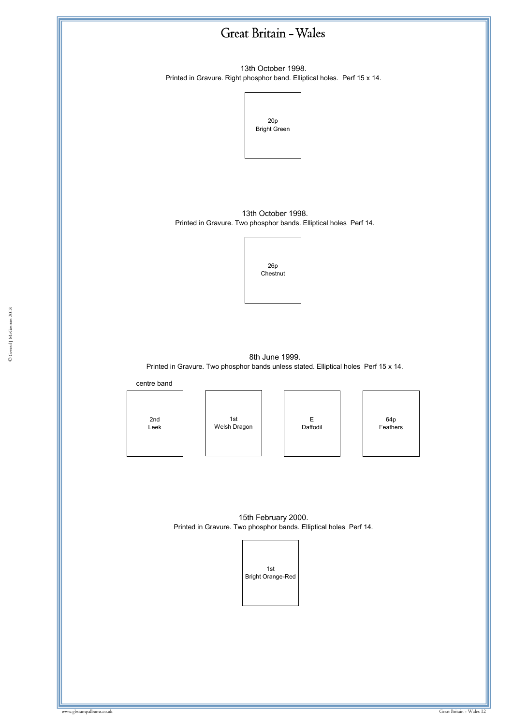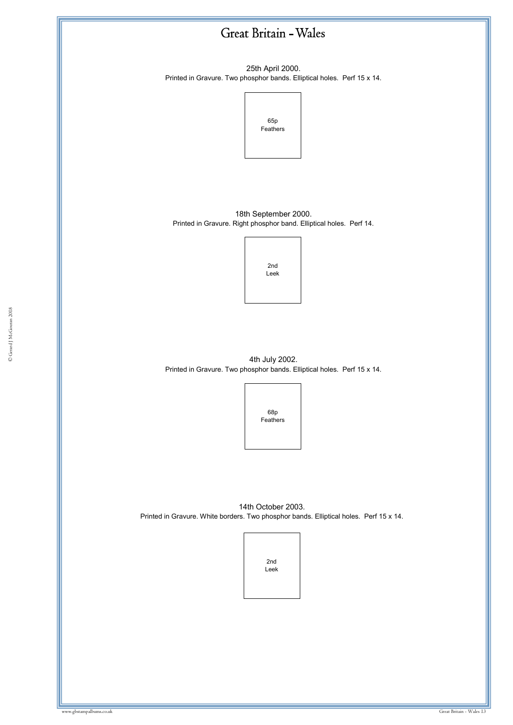25th April 2000. Printed in Gravure. Two phosphor bands. Elliptical holes. Perf 15 x 14.



18th September 2000. Printed in Gravure. Right phosphor band. Elliptical holes. Perf 14.



4th July 2002. Printed in Gravure. Two phosphor bands. Elliptical holes. Perf 15 x 14.



14th October 2003. Printed in Gravure. White borders. Two phosphor bands. Elliptical holes. Perf 15 x 14.

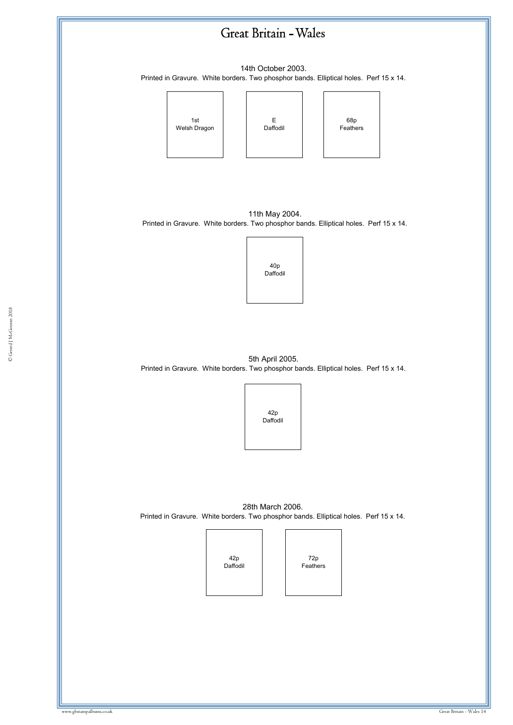14th October 2003. Printed in Gravure. White borders. Two phosphor bands. Elliptical holes. Perf 15 x 14.



11th May 2004. Printed in Gravure. White borders. Two phosphor bands. Elliptical holes. Perf 15 x 14.



5th April 2005. Printed in Gravure. White borders. Two phosphor bands. Elliptical holes. Perf 15 x 14.



28th March 2006. Printed in Gravure. White borders. Two phosphor bands. Elliptical holes. Perf 15 x 14.

> 42p Daffodil

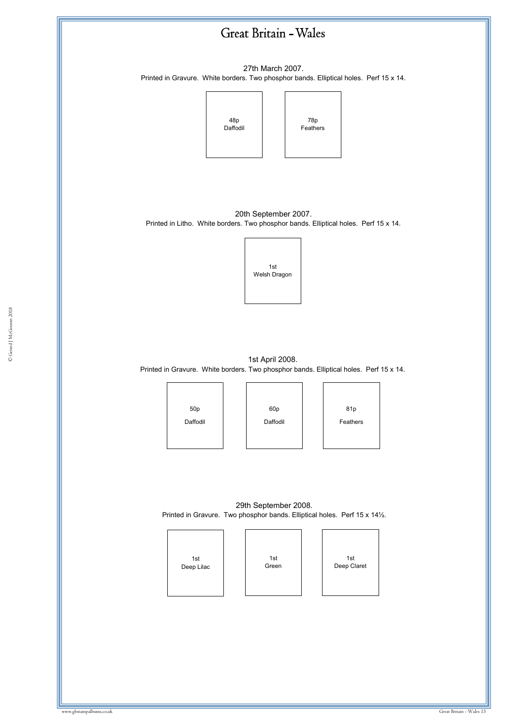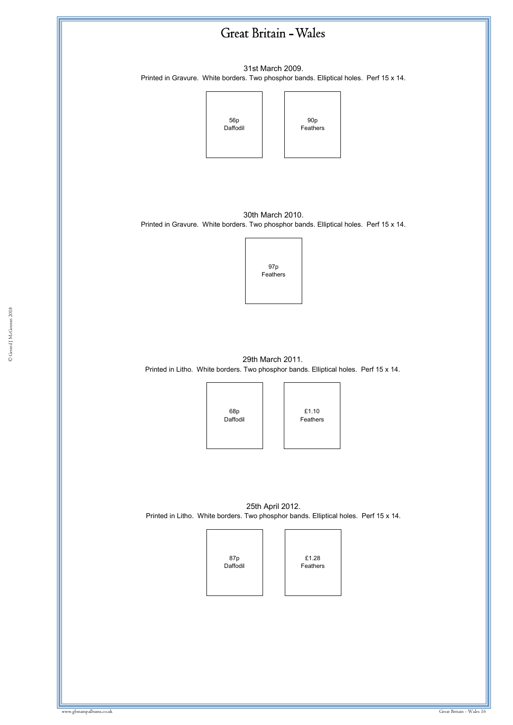

© Gerard J McGouran 2018 © Gerard J McGouran 2018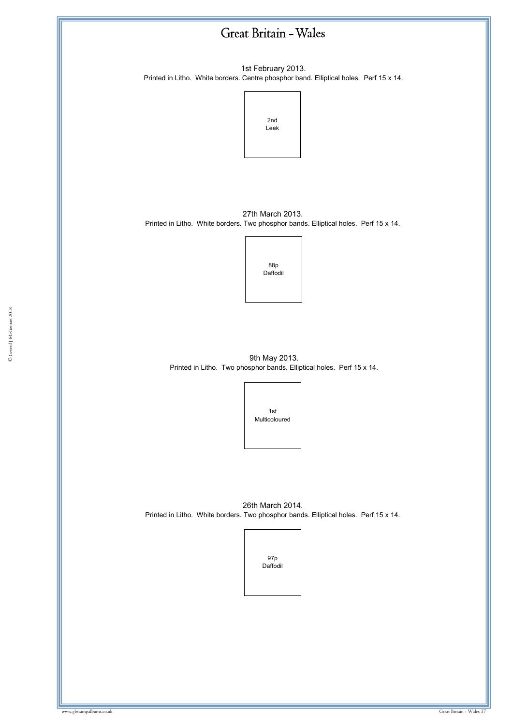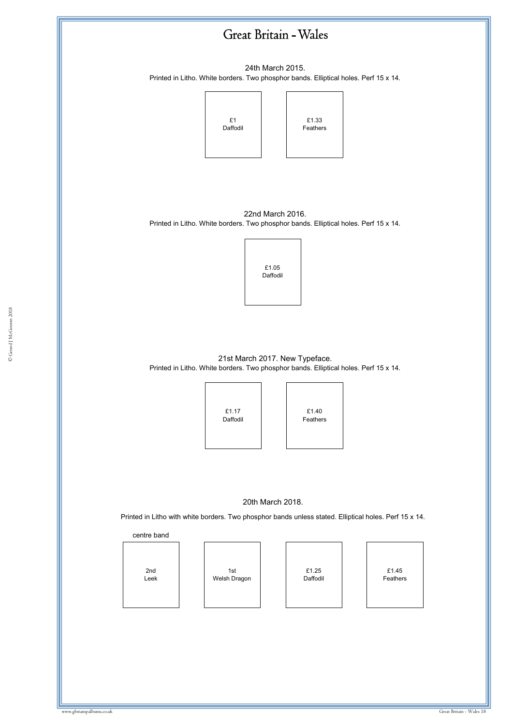

24th March 2015. Printed in Litho. White borders. Two phosphor bands. Elliptical holes. Perf 15 x 14.



22nd March 2016. Printed in Litho. White borders. Two phosphor bands. Elliptical holes. Perf 15 x 14.



21st March 2017. New Typeface. Printed in Litho. White borders. Two phosphor bands. Elliptical holes. Perf 15 x 14.



£1.40 Feathers

#### 20th March 2018.

Printed in Litho with white borders. Two phosphor bands unless stated. Elliptical holes. Perf 15 x 14.

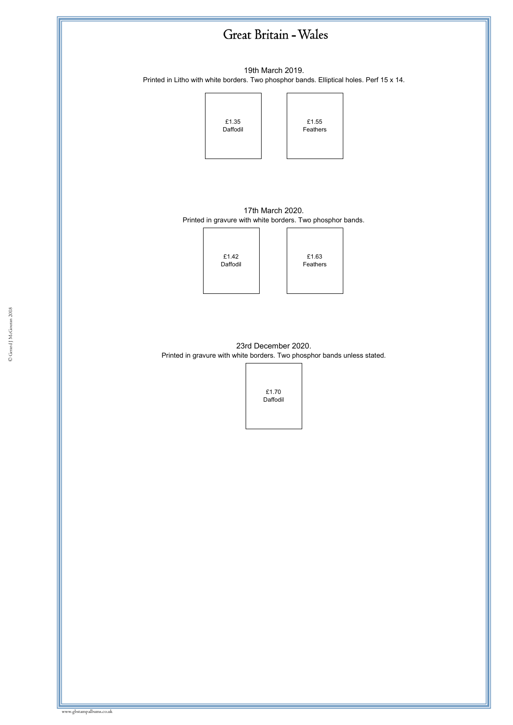